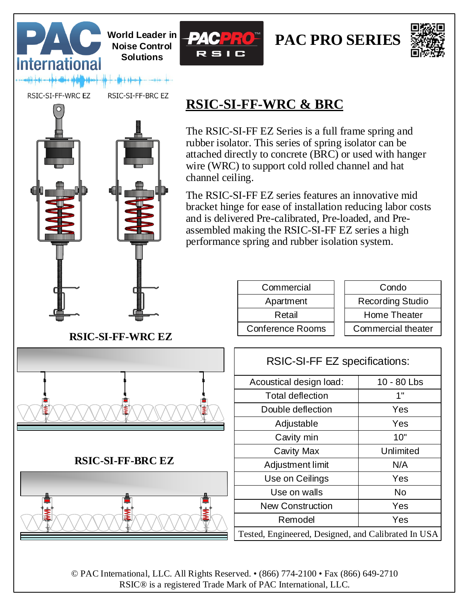





RSIC-SI-FF-WRC EZ

**International** 

RSIC-SI-FF-BRC EZ

**Solutions**



## **RSIC-SI-FF-WRC & BRC**

The RSIC-SI-FF EZ Series is a full frame spring and rubber isolator. This series of spring isolator can be attached directly to concrete (BRC) or used with hanger wire (WRC) to support cold rolled channel and hat channel ceiling.

The RSIC-SI-FF EZ series features an innovative mid bracket hinge for ease of installation reducing labor costs and is delivered Pre-calibrated, Pre-loaded, and Preassembled making the RSIC-SI-FF EZ series a high performance spring and rubber isolation system.

| Commercial              | Condo                     |
|-------------------------|---------------------------|
| Apartment               | <b>Recording Studio</b>   |
| Retail                  | Home Theater              |
| <b>Conference Rooms</b> | <b>Commercial theater</b> |
|                         |                           |

| Condo                     |  |
|---------------------------|--|
| Recording Studio          |  |
| <b>Home Theater</b>       |  |
| <b>Commercial theater</b> |  |

| RSIC-SI-FF EZ specifications:                       |             |  |
|-----------------------------------------------------|-------------|--|
| Acoustical design load:                             | 10 - 80 Lbs |  |
| <b>Total deflection</b>                             | 1"          |  |
| Double deflection                                   | Yes         |  |
| Adjustable                                          | Yes         |  |
| Cavity min                                          | 10"         |  |
| <b>Cavity Max</b>                                   | Unlimited   |  |
| Adjustment limit                                    | N/A         |  |
| Use on Ceilings                                     | Yes         |  |
| Use on walls                                        | No          |  |
| <b>New Construction</b>                             | Yes         |  |
| Remodel                                             | Yes         |  |
| Tested, Engineered, Designed, and Calibrated In USA |             |  |

**RSIC-SI-FF-BRC EZ**



© PAC International, LLC. All Rights Reserved. • (866) 774-2100 • Fax (866) 649-2710 RSIC® is a registered Trade Mark of PAC International, LLC.